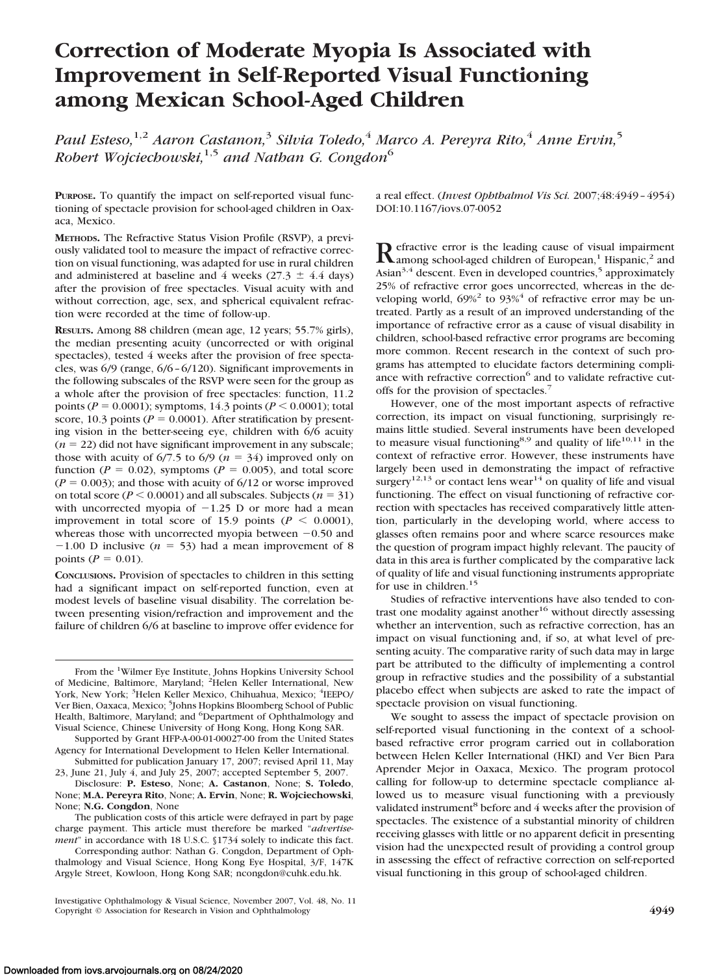# **Correction of Moderate Myopia Is Associated with Improvement in Self-Reported Visual Functioning among Mexican School-Aged Children**

*Paul Esteso,*1,2 *Aaron Castanon,*<sup>3</sup> *Silvia Toledo,*<sup>4</sup> *Marco A. Pereyra Rito,*<sup>4</sup> *Anne Ervin,*<sup>5</sup> *Robert Wojciechowski,*1,5 *and Nathan G. Congdon*<sup>6</sup>

**PURPOSE.** To quantify the impact on self-reported visual functioning of spectacle provision for school-aged children in Oaxaca, Mexico.

**METHODS.** The Refractive Status Vision Profile (RSVP), a previously validated tool to measure the impact of refractive correction on visual functioning, was adapted for use in rural children and administered at baseline and 4 weeks (27.3  $\pm$  4.4 days) after the provision of free spectacles. Visual acuity with and without correction, age, sex, and spherical equivalent refraction were recorded at the time of follow-up.

**RESULTS.** Among 88 children (mean age, 12 years; 55.7% girls), the median presenting acuity (uncorrected or with original spectacles), tested 4 weeks after the provision of free spectacles, was 6/9 (range, 6/6 – 6/120). Significant improvements in the following subscales of the RSVP were seen for the group as a whole after the provision of free spectacles: function, 11.2 points ( $P = 0.0001$ ); symptoms, 14.3 points ( $P < 0.0001$ ); total score, 10.3 points ( $P = 0.0001$ ). After stratification by presenting vision in the better-seeing eye, children with 6/6 acuity  $(n = 22)$  did not have significant improvement in any subscale; those with acuity of  $6/7.5$  to  $6/9$  ( $n = 34$ ) improved only on function ( $P = 0.02$ ), symptoms ( $P = 0.005$ ), and total score  $(P = 0.003)$ ; and those with acuity of  $6/12$  or worse improved on total score ( $P < 0.0001$ ) and all subscales. Subjects ( $n = 31$ ) with uncorrected myopia of  $-1.25$  D or more had a mean improvement in total score of 15.9 points ( $P < 0.0001$ ), whereas those with uncorrected myopia between  $-0.50$  and  $-1.00$  D inclusive ( $n = 53$ ) had a mean improvement of 8 points ( $P = 0.01$ ).

**CONCLUSIONS.** Provision of spectacles to children in this setting had a significant impact on self-reported function, even at modest levels of baseline visual disability. The correlation between presenting vision/refraction and improvement and the failure of children 6/6 at baseline to improve offer evidence for

Supported by Grant HFP-A-00-01-00027-00 from the United States Agency for International Development to Helen Keller International. Submitted for publication January 17, 2007; revised April 11, May

23, June 21, July 4, and July 25, 2007; accepted September 5, 2007. Disclosure: **P. Esteso**, None; **A. Castanon**, None; **S. Toledo**,

None; **M.A. Pereyra Rito**, None; **A. Ervin**, None; **R. Wojciechowski**, None; **N.G. Congdon**, None

The publication costs of this article were defrayed in part by page charge payment. This article must therefore be marked "*advertisement*" in accordance with 18 U.S.C. §1734 solely to indicate this fact. a real effect. (*Invest Ophthalmol Vis Sci.* 2007;48:4949 – 4954) DOI:10.1167/iovs.07-0052

**Refractive error is the leading cause of visual impairment**<br>among school-aged children of European,<sup>1</sup> Hispanic,<sup>2</sup> and Asian<sup>3,4</sup> descent. Even in developed countries,<sup>5</sup> approximately 25% of refractive error goes uncorrected, whereas in the developing world,  $69\%^2$  to  $93\%^4$  of refractive error may be untreated. Partly as a result of an improved understanding of the importance of refractive error as a cause of visual disability in children, school-based refractive error programs are becoming more common. Recent research in the context of such programs has attempted to elucidate factors determining compliance with refractive correction<sup>6</sup> and to validate refractive cutoffs for the provision of spectacles.<sup>7</sup>

However, one of the most important aspects of refractive correction, its impact on visual functioning, surprisingly remains little studied. Several instruments have been developed to measure visual functioning<sup>8,9</sup> and quality of life<sup>10,11</sup> in the context of refractive error. However, these instruments have largely been used in demonstrating the impact of refractive surgery<sup>12,13</sup> or contact lens wear<sup>14</sup> on quality of life and visual functioning. The effect on visual functioning of refractive correction with spectacles has received comparatively little attention, particularly in the developing world, where access to glasses often remains poor and where scarce resources make the question of program impact highly relevant. The paucity of data in this area is further complicated by the comparative lack of quality of life and visual functioning instruments appropriate for use in children.<sup>15</sup>

Studies of refractive interventions have also tended to contrast one modality against another<sup>16</sup> without directly assessing whether an intervention, such as refractive correction, has an impact on visual functioning and, if so, at what level of presenting acuity. The comparative rarity of such data may in large part be attributed to the difficulty of implementing a control group in refractive studies and the possibility of a substantial placebo effect when subjects are asked to rate the impact of spectacle provision on visual functioning.

We sought to assess the impact of spectacle provision on self-reported visual functioning in the context of a schoolbased refractive error program carried out in collaboration between Helen Keller International (HKI) and Ver Bien Para Aprender Mejor in Oaxaca, Mexico. The program protocol calling for follow-up to determine spectacle compliance allowed us to measure visual functioning with a previously validated instrument<sup>8</sup> before and 4 weeks after the provision of spectacles. The existence of a substantial minority of children receiving glasses with little or no apparent deficit in presenting vision had the unexpected result of providing a control group in assessing the effect of refractive correction on self-reported visual functioning in this group of school-aged children.

From the <sup>1</sup>Wilmer Eye Institute, Johns Hopkins University School of Medicine, Baltimore, Maryland; <sup>2</sup>Helen Keller International, New York, New York; <sup>3</sup>Helen Keller Mexico, Chihuahua, Mexico; <sup>4</sup>IEEPO/ Ver Bien, Oaxaca, Mexico; <sup>5</sup>Johns Hopkins Bloomberg School of Public Health, Baltimore, Maryland; and <sup>6</sup>Department of Ophthalmology and Visual Science, Chinese University of Hong Kong, Hong Kong SAR.

Corresponding author: Nathan G. Congdon, Department of Ophthalmology and Visual Science, Hong Kong Eye Hospital, 3/F, 147K Argyle Street, Kowloon, Hong Kong SAR; ncongdon@cuhk.edu.hk.

Investigative Ophthalmology & Visual Science, November 2007, Vol. 48, No. 11 Copyright © Association for Research in Vision and Ophthalmology **4949**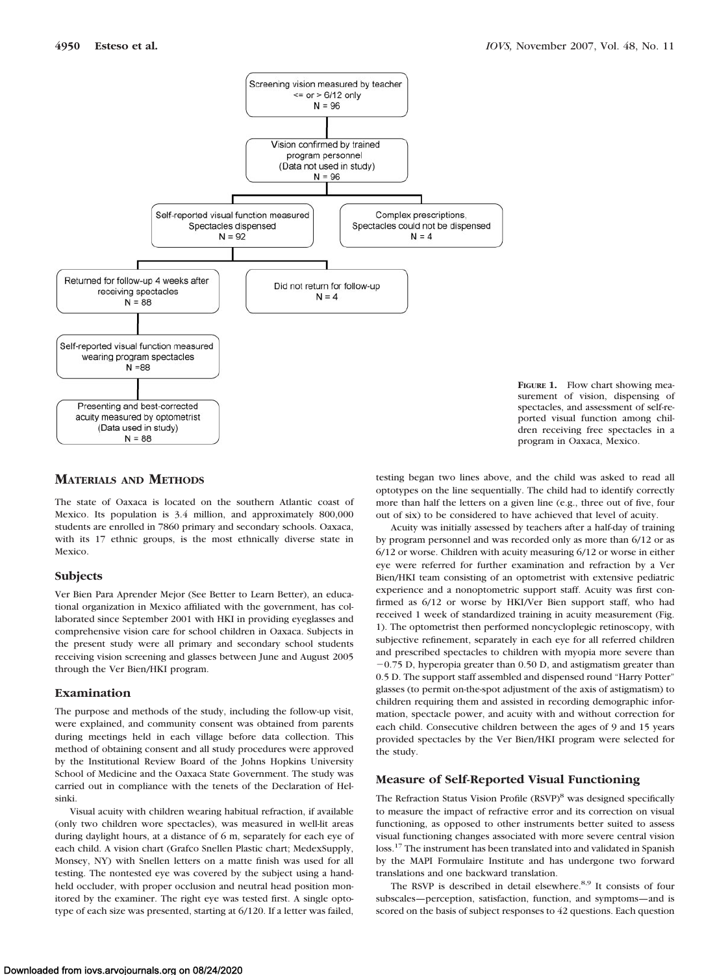

# **MATERIALS AND METHODS**

The state of Oaxaca is located on the southern Atlantic coast of Mexico. Its population is 3.4 million, and approximately 800,000 students are enrolled in 7860 primary and secondary schools. Oaxaca, with its 17 ethnic groups, is the most ethnically diverse state in Mexico.

### **Subjects**

Ver Bien Para Aprender Mejor (See Better to Learn Better), an educational organization in Mexico affiliated with the government, has collaborated since September 2001 with HKI in providing eyeglasses and comprehensive vision care for school children in Oaxaca. Subjects in the present study were all primary and secondary school students receiving vision screening and glasses between June and August 2005 through the Ver Bien/HKI program.

### **Examination**

The purpose and methods of the study, including the follow-up visit, were explained, and community consent was obtained from parents during meetings held in each village before data collection. This method of obtaining consent and all study procedures were approved by the Institutional Review Board of the Johns Hopkins University School of Medicine and the Oaxaca State Government. The study was carried out in compliance with the tenets of the Declaration of Helsinki.

Visual acuity with children wearing habitual refraction, if available (only two children wore spectacles), was measured in well-lit areas during daylight hours, at a distance of 6 m, separately for each eye of each child. A vision chart (Grafco Snellen Plastic chart; MedexSupply, Monsey, NY) with Snellen letters on a matte finish was used for all testing. The nontested eye was covered by the subject using a handheld occluder, with proper occlusion and neutral head position monitored by the examiner. The right eye was tested first. A single optotype of each size was presented, starting at 6/120. If a letter was failed,



testing began two lines above, and the child was asked to read all optotypes on the line sequentially. The child had to identify correctly more than half the letters on a given line (e.g., three out of five, four out of six) to be considered to have achieved that level of acuity.

Acuity was initially assessed by teachers after a half-day of training by program personnel and was recorded only as more than 6/12 or as 6/12 or worse. Children with acuity measuring 6/12 or worse in either eye were referred for further examination and refraction by a Ver Bien/HKI team consisting of an optometrist with extensive pediatric experience and a nonoptometric support staff. Acuity was first confirmed as 6/12 or worse by HKI/Ver Bien support staff, who had received 1 week of standardized training in acuity measurement (Fig. 1). The optometrist then performed noncycloplegic retinoscopy, with subjective refinement, separately in each eye for all referred children and prescribed spectacles to children with myopia more severe than  $-0.75$  D, hyperopia greater than  $0.50$  D, and astigmatism greater than 0.5 D. The support staff assembled and dispensed round "Harry Potter" glasses (to permit on-the-spot adjustment of the axis of astigmatism) to children requiring them and assisted in recording demographic information, spectacle power, and acuity with and without correction for each child. Consecutive children between the ages of 9 and 15 years provided spectacles by the Ver Bien/HKI program were selected for the study.

## **Measure of Self-Reported Visual Functioning**

The Refraction Status Vision Profile (RSVP)<sup>8</sup> was designed specifically to measure the impact of refractive error and its correction on visual functioning, as opposed to other instruments better suited to assess visual functioning changes associated with more severe central vision loss.<sup>17</sup> The instrument has been translated into and validated in Spanish by the MAPI Formulaire Institute and has undergone two forward translations and one backward translation.

The RSVP is described in detail elsewhere.<sup>8,9</sup> It consists of four subscales—perception, satisfaction, function, and symptoms—and is scored on the basis of subject responses to 42 questions. Each question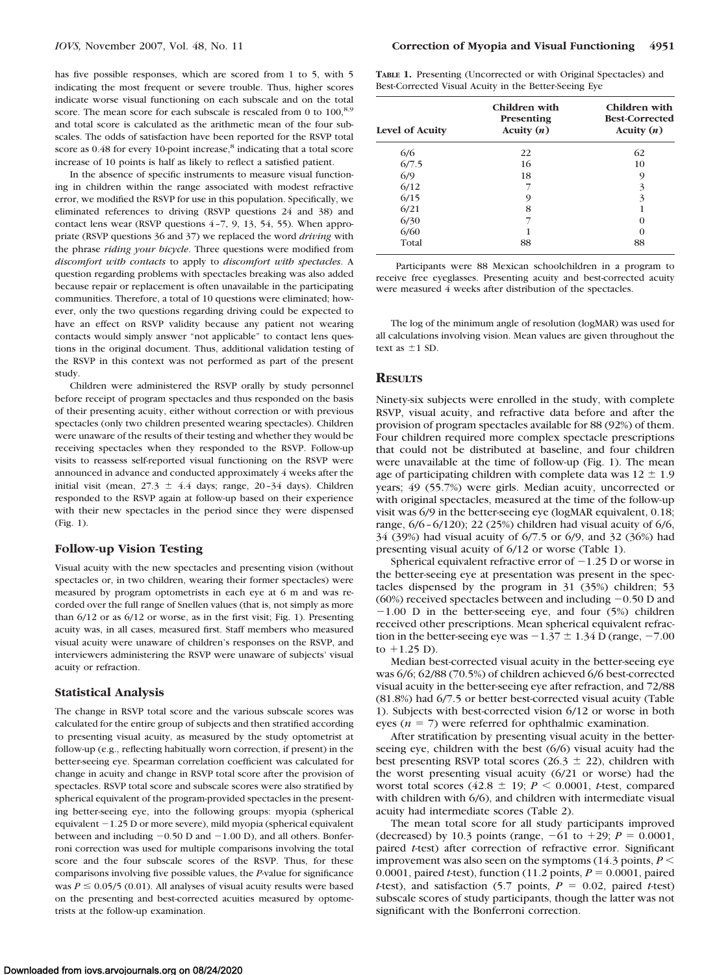has five possible responses, which are scored from 1 to 5, with 5 indicating the most frequent or severe trouble. Thus, higher scores indicate worse visual functioning on each subscale and on the total score. The mean score for each subscale is rescaled from 0 to 100,<sup>8,9</sup> and total score is calculated as the arithmetic mean of the four subscales. The odds of satisfaction have been reported for the RSVP total score as 0.48 for every 10-point increase,<sup>8</sup> indicating that a total score increase of 10 points is half as likely to reflect a satisfied patient.

In the absence of specific instruments to measure visual functioning in children within the range associated with modest refractive error, we modified the RSVP for use in this population. Specifically, we eliminated references to driving (RSVP questions 24 and 38) and contact lens wear (RSVP questions 4 –7, 9, 13, 54, 55). When appropriate (RSVP questions 36 and 37) we replaced the word *driving* with the phrase *riding your bicycle*. Three questions were modified from *discomfort with contacts* to apply to *discomfort with spectacles*. A question regarding problems with spectacles breaking was also added because repair or replacement is often unavailable in the participating communities. Therefore, a total of 10 questions were eliminated; however, only the two questions regarding driving could be expected to have an effect on RSVP validity because any patient not wearing contacts would simply answer "not applicable" to contact lens questions in the original document. Thus, additional validation testing of the RSVP in this context was not performed as part of the present study.

Children were administered the RSVP orally by study personnel before receipt of program spectacles and thus responded on the basis of their presenting acuity, either without correction or with previous spectacles (only two children presented wearing spectacles). Children were unaware of the results of their testing and whether they would be receiving spectacles when they responded to the RSVP. Follow-up visits to reassess self-reported visual functioning on the RSVP were announced in advance and conducted approximately 4 weeks after the initial visit (mean,  $27.3 \pm 4.4$  days; range,  $20-34$  days). Children responded to the RSVP again at follow-up based on their experience with their new spectacles in the period since they were dispensed (Fig. 1).

## **Follow-up Vision Testing**

Visual acuity with the new spectacles and presenting vision (without spectacles or, in two children, wearing their former spectacles) were measured by program optometrists in each eye at 6 m and was recorded over the full range of Snellen values (that is, not simply as more than 6/12 or as 6/12 or worse, as in the first visit; Fig. 1). Presenting acuity was, in all cases, measured first. Staff members who measured visual acuity were unaware of children's responses on the RSVP, and interviewers administering the RSVP were unaware of subjects' visual acuity or refraction.

### **Statistical Analysis**

The change in RSVP total score and the various subscale scores was calculated for the entire group of subjects and then stratified according to presenting visual acuity, as measured by the study optometrist at follow-up (e.g., reflecting habitually worn correction, if present) in the better-seeing eye. Spearman correlation coefficient was calculated for change in acuity and change in RSVP total score after the provision of spectacles. RSVP total score and subscale scores were also stratified by spherical equivalent of the program-provided spectacles in the presenting better-seeing eye, into the following groups: myopia (spherical equivalent  $-1.25$  D or more severe), mild myopia (spherical equivalent between and including  $-0.50$  D and  $-1.00$  D), and all others. Bonferroni correction was used for multiple comparisons involving the total score and the four subscale scores of the RSVP. Thus, for these comparisons involving five possible values, the *P*-value for significance was  $P \le 0.05/5$  (0.01). All analyses of visual acuity results were based on the presenting and best-corrected acuities measured by optometrists at the follow-up examination.

| <b>TABLE 1.</b> Presenting (Uncorrected or with Original Spectacles) and |  |  |
|--------------------------------------------------------------------------|--|--|
| Best-Corrected Visual Acuity in the Better-Seeing Eye                    |  |  |

| Level of Acuity | Children with<br>Presenting<br>Acuity $(n)$ | Children with<br><b>Best-Corrected</b><br>Acuity $(n)$ |  |
|-----------------|---------------------------------------------|--------------------------------------------------------|--|
| 6/6             | 22                                          | 62                                                     |  |
| 6/7.5           | 16                                          | 10                                                     |  |
| 6/9             | 18                                          | 9                                                      |  |
| 6/12            |                                             | 3                                                      |  |
| 6/15            | 9                                           | 3                                                      |  |
| 6/21            | 8                                           |                                                        |  |
| 6/30            |                                             | $\left($                                               |  |
| 6/60            |                                             | $\Omega$                                               |  |
| Total           | 88                                          | 88                                                     |  |

Participants were 88 Mexican schoolchildren in a program to receive free eyeglasses. Presenting acuity and best-corrected acuity were measured 4 weeks after distribution of the spectacles.

The log of the minimum angle of resolution (logMAR) was used for all calculations involving vision. Mean values are given throughout the text as  $\pm 1$  SD.

# **RESULTS**

Ninety-six subjects were enrolled in the study, with complete RSVP, visual acuity, and refractive data before and after the provision of program spectacles available for 88 (92%) of them. Four children required more complex spectacle prescriptions that could not be distributed at baseline, and four children were unavailable at the time of follow-up (Fig. 1). The mean age of participating children with complete data was  $12 \pm 1.9$ years; 49 (55.7%) were girls. Median acuity, uncorrected or with original spectacles, measured at the time of the follow-up visit was 6/9 in the better-seeing eye (logMAR equivalent, 0.18; range, 6/6 – 6/120); 22 (25%) children had visual acuity of 6/6, 34 (39%) had visual acuity of 6/7.5 or 6/9, and 32 (36%) had presenting visual acuity of 6/12 or worse (Table 1).

Spherical equivalent refractive error of  $-1.25$  D or worse in the better-seeing eye at presentation was present in the spectacles dispensed by the program in 31 (35%) children; 53 (60%) received spectacles between and including  $-0.50$  D and  $-1.00$  D in the better-seeing eye, and four (5%) children received other prescriptions. Mean spherical equivalent refraction in the better-seeing eye was  $-1.37 \pm 1.34$  D (range,  $-7.00$ ) to  $+1.25$  D).

Median best-corrected visual acuity in the better-seeing eye was 6/6; 62/88 (70.5%) of children achieved 6/6 best-corrected visual acuity in the better-seeing eye after refraction, and 72/88 (81.8%) had 6/7.5 or better best-corrected visual acuity (Table 1). Subjects with best-corrected vision 6/12 or worse in both eyes  $(n = 7)$  were referred for ophthalmic examination.

After stratification by presenting visual acuity in the betterseeing eye, children with the best (6/6) visual acuity had the best presenting RSVP total scores (26.3  $\pm$  22), children with the worst presenting visual acuity (6/21 or worse) had the worst total scores  $(42.8 \pm 19; P \le 0.0001, t-test, compared$ with children with 6/6), and children with intermediate visual acuity had intermediate scores (Table 2).

The mean total score for all study participants improved (decreased) by 10.3 points (range,  $-61$  to  $+29$ ;  $P = 0.0001$ , paired *t*-test) after correction of refractive error. Significant improvement was also seen on the symptoms  $(14.3 \text{ points}, P \leq$ 0.0001, paired *t*-test), function (11.2 points,  $P = 0.0001$ , paired  $t$ -test), and satisfaction (5.7 points,  $P = 0.02$ , paired  $t$ -test) subscale scores of study participants, though the latter was not significant with the Bonferroni correction.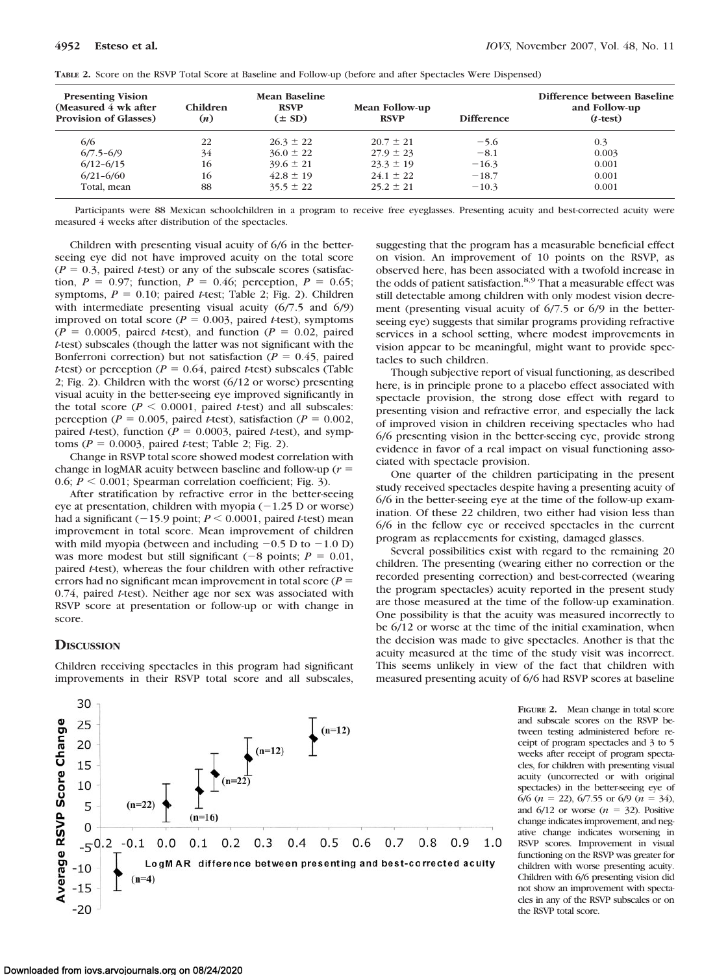| TABLE 2. Score on the RSVP Total Score at Baseline and Follow-up (before and after Spectacles Were Dispensed) |  |
|---------------------------------------------------------------------------------------------------------------|--|
|---------------------------------------------------------------------------------------------------------------|--|

| <b>Presenting Vision</b><br>(Measured 4 wk after)<br><b>Provision of Glasses)</b> | Children<br>(n) | Mean Baseline<br><b>RSVP</b><br>$(\pm SD)$ | Mean Follow-up<br><b>RSVP</b> | <b>Difference</b> | Difference between Baseline<br>and Follow-up<br>$(t-test)$ |
|-----------------------------------------------------------------------------------|-----------------|--------------------------------------------|-------------------------------|-------------------|------------------------------------------------------------|
| 6/6                                                                               | 22              | $26.3 \pm 22$                              | $20.7 \pm 21$                 | $-5.6$            | 0.3                                                        |
| $6/7.5 - 6/9$                                                                     | 34              | $36.0 \pm 22$                              | $27.9 \pm 23$                 | $-8.1$            | 0.003                                                      |
| $6/12 - 6/15$                                                                     | 16              | $39.6 \pm 21$                              | $23.3 \pm 19$                 | $-16.3$           | 0.001                                                      |
| $6/21 - 6/60$                                                                     | 16              | $42.8 \pm 19$                              | $24.1 \pm 22$                 | $-18.7$           | 0.001                                                      |
| Total, mean                                                                       | 88              | $35.5 \pm 22$                              | $25.2 \pm 21$                 | $-10.3$           | 0.001                                                      |

Participants were 88 Mexican schoolchildren in a program to receive free eyeglasses. Presenting acuity and best-corrected acuity were measured 4 weeks after distribution of the spectacles.

Children with presenting visual acuity of 6/6 in the betterseeing eye did not have improved acuity on the total score  $(P = 0.3,$  paired *t*-test) or any of the subscale scores (satisfaction,  $P = 0.97$ ; function,  $P = 0.46$ ; perception,  $P = 0.65$ ; symptoms,  $P = 0.10$ ; paired *t*-test; Table 2; Fig. 2). Children with intermediate presenting visual acuity (6/7.5 and 6/9) improved on total score ( $P = 0.003$ , paired *t*-test), symptoms  $(P = 0.0005,$  paired *t*-test), and function  $(P = 0.02,$  paired *t*-test) subscales (though the latter was not significant with the Bonferroni correction) but not satisfaction ( $P = 0.45$ , paired *t*-test) or perception ( $P = 0.64$ , paired *t*-test) subscales (Table 2; Fig. 2). Children with the worst (6/12 or worse) presenting visual acuity in the better-seeing eye improved significantly in the total score ( $P \le 0.0001$ , paired *t*-test) and all subscales: perception ( $P = 0.005$ , paired *t*-test), satisfaction ( $P = 0.002$ , paired *t*-test), function ( $P = 0.0003$ , paired *t*-test), and symptoms (*P* - 0.0003, paired *t*-test; Table 2; Fig. 2).

Change in RSVP total score showed modest correlation with change in logMAR acuity between baseline and follow-up  $(r =$ 0.6;  $P \le 0.001$ ; Spearman correlation coefficient; Fig. 3).

After stratification by refractive error in the better-seeing eye at presentation, children with myopia  $(-1.25$  D or worse) had a significant  $(-15.9 \text{ point}; P \le 0.0001, \text{ paired } t\text{-test})$  mean improvement in total score. Mean improvement of children with mild myopia (between and including  $-0.5$  D to  $-1.0$  D) was more modest but still significant  $(-8 \text{ points}; P = 0.01,$ paired *t*-test), whereas the four children with other refractive errors had no significant mean improvement in total score  $(P =$ 0.74, paired *t*-test). Neither age nor sex was associated with RSVP score at presentation or follow-up or with change in score.

## **DISCUSSION**

Children receiving spectacles in this program had significant improvements in their RSVP total score and all subscales,



Though subjective report of visual functioning, as described here, is in principle prone to a placebo effect associated with spectacle provision, the strong dose effect with regard to presenting vision and refractive error, and especially the lack of improved vision in children receiving spectacles who had 6/6 presenting vision in the better-seeing eye, provide strong evidence in favor of a real impact on visual functioning associated with spectacle provision.

One quarter of the children participating in the present study received spectacles despite having a presenting acuity of 6/6 in the better-seeing eye at the time of the follow-up examination. Of these 22 children, two either had vision less than 6/6 in the fellow eye or received spectacles in the current program as replacements for existing, damaged glasses.

Several possibilities exist with regard to the remaining 20 children. The presenting (wearing either no correction or the recorded presenting correction) and best-corrected (wearing the program spectacles) acuity reported in the present study are those measured at the time of the follow-up examination. One possibility is that the acuity was measured incorrectly to be 6/12 or worse at the time of the initial examination, when the decision was made to give spectacles. Another is that the acuity measured at the time of the study visit was incorrect. This seems unlikely in view of the fact that children with measured presenting acuity of 6/6 had RSVP scores at baseline



**FIGURE 2.** Mean change in total score and subscale scores on the RSVP between testing administered before receipt of program spectacles and 3 to 5 weeks after receipt of program spectacles, for children with presenting visual acuity (uncorrected or with original spectacles) in the better-seeing eye of  $6/6$  ( $n = 22$ ),  $6/7.55$  or  $6/9$  ( $n = 34$ ), and  $6/12$  or worse  $(n = 32)$ . Positive change indicates improvement, and negative change indicates worsening in RSVP scores. Improvement in visual functioning on the RSVP was greater for children with worse presenting acuity. Children with 6/6 presenting vision did not show an improvement with spectacles in any of the RSVP subscales or on the RSVP total score.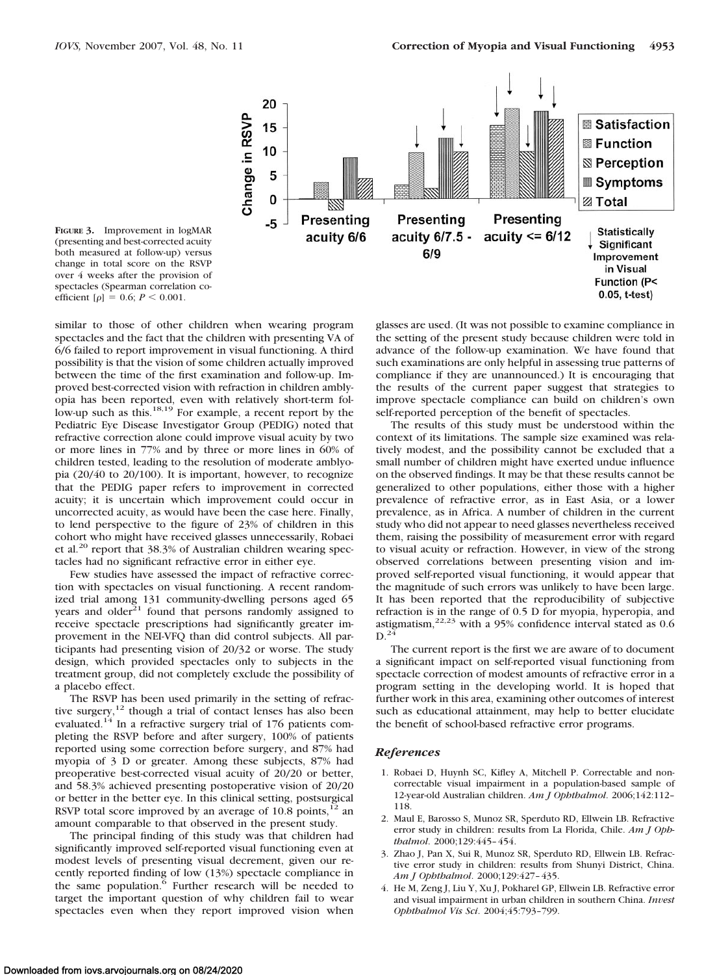

**FIGURE 3.** Improvement in logMAR (presenting and best-corrected acuity both measured at follow-up) versus change in total score on the RSVP over 4 weeks after the provision of spectacles (Spearman correlation coefficient  $[p] = 0.6; P \le 0.001$ .

similar to those of other children when wearing program spectacles and the fact that the children with presenting VA of 6/6 failed to report improvement in visual functioning. A third possibility is that the vision of some children actually improved between the time of the first examination and follow-up. Improved best-corrected vision with refraction in children amblyopia has been reported, even with relatively short-term follow-up such as this.<sup>18,19</sup> For example, a recent report by the Pediatric Eye Disease Investigator Group (PEDIG) noted that refractive correction alone could improve visual acuity by two or more lines in 77% and by three or more lines in 60% of children tested, leading to the resolution of moderate amblyopia (20/40 to 20/100). It is important, however, to recognize that the PEDIG paper refers to improvement in corrected acuity; it is uncertain which improvement could occur in uncorrected acuity, as would have been the case here. Finally, to lend perspective to the figure of 23% of children in this cohort who might have received glasses unnecessarily, Robaei et al.<sup>20</sup> report that 38.3% of Australian children wearing spectacles had no significant refractive error in either eye.

Few studies have assessed the impact of refractive correction with spectacles on visual functioning. A recent randomized trial among 131 community-dwelling persons aged 65 years and older $21$  found that persons randomly assigned to receive spectacle prescriptions had significantly greater improvement in the NEI-VFQ than did control subjects. All participants had presenting vision of 20/32 or worse. The study design, which provided spectacles only to subjects in the treatment group, did not completely exclude the possibility of a placebo effect.

The RSVP has been used primarily in the setting of refractive surgery, $12$  though a trial of contact lenses has also been evaluated.<sup>14</sup> In a refractive surgery trial of 176 patients completing the RSVP before and after surgery, 100% of patients reported using some correction before surgery, and 87% had myopia of 3 D or greater. Among these subjects, 87% had preoperative best-corrected visual acuity of 20/20 or better, and 58.3% achieved presenting postoperative vision of 20/20 or better in the better eye. In this clinical setting, postsurgical RSVP total score improved by an average of  $10.8$  points,<sup>12</sup> an amount comparable to that observed in the present study.

The principal finding of this study was that children had significantly improved self-reported visual functioning even at modest levels of presenting visual decrement, given our recently reported finding of low (13%) spectacle compliance in the same population.<sup>6</sup> Further research will be needed to target the important question of why children fail to wear spectacles even when they report improved vision when glasses are used. (It was not possible to examine compliance in the setting of the present study because children were told in advance of the follow-up examination. We have found that such examinations are only helpful in assessing true patterns of compliance if they are unannounced.) It is encouraging that the results of the current paper suggest that strategies to improve spectacle compliance can build on children's own self-reported perception of the benefit of spectacles.

The results of this study must be understood within the context of its limitations. The sample size examined was relatively modest, and the possibility cannot be excluded that a small number of children might have exerted undue influence on the observed findings. It may be that these results cannot be generalized to other populations, either those with a higher prevalence of refractive error, as in East Asia, or a lower prevalence, as in Africa. A number of children in the current study who did not appear to need glasses nevertheless received them, raising the possibility of measurement error with regard to visual acuity or refraction. However, in view of the strong observed correlations between presenting vision and improved self-reported visual functioning, it would appear that the magnitude of such errors was unlikely to have been large. It has been reported that the reproducibility of subjective refraction is in the range of 0.5 D for myopia, hyperopia, and astigmatism, $22,23$  with a 95% confidence interval stated as 0.6  $D.24$ 

The current report is the first we are aware of to document a significant impact on self-reported visual functioning from spectacle correction of modest amounts of refractive error in a program setting in the developing world. It is hoped that further work in this area, examining other outcomes of interest such as educational attainment, may help to better elucidate the benefit of school-based refractive error programs.

#### *References*

- 1. Robaei D, Huynh SC, Kifley A, Mitchell P. Correctable and noncorrectable visual impairment in a population-based sample of 12-year-old Australian children. *Am J Ophthalmol*. 2006;142:112– 118.
- 2. Maul E, Barosso S, Munoz SR, Sperduto RD, Ellwein LB. Refractive error study in children: results from La Florida, Chile. *Am J Ophthalmol*. 2000;129:445– 454.
- 3. Zhao J, Pan X, Sui R, Munoz SR, Sperduto RD, Ellwein LB. Refractive error study in children: results from Shunyi District, China. *Am J Ophthalmol*. 2000;129:427– 435.
- 4. He M, Zeng J, Liu Y, Xu J, Pokharel GP, Ellwein LB. Refractive error and visual impairment in urban children in southern China. *Invest Ophthalmol Vis Sci*. 2004;45:793–799.